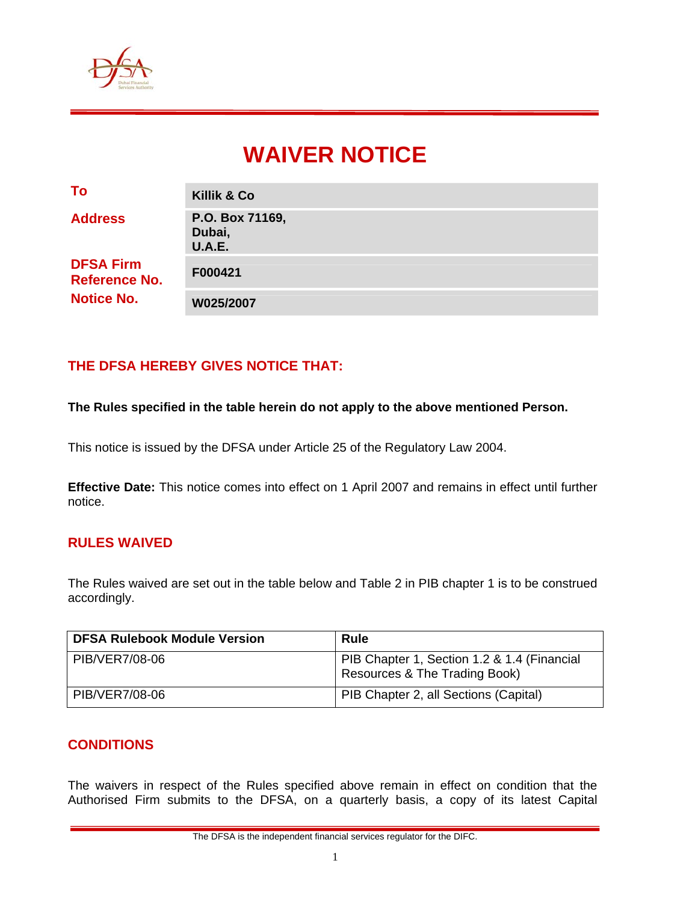

# **WAIVER NOTICE**

| To                                                            | <b>Killik &amp; Co</b>                     |
|---------------------------------------------------------------|--------------------------------------------|
| <b>Address</b>                                                | P.O. Box 71169,<br>Dubai,<br><b>U.A.E.</b> |
| <b>DFSA Firm</b><br><b>Reference No.</b><br><b>Notice No.</b> | F000421                                    |
|                                                               | W025/2007                                  |

## **THE DFSA HEREBY GIVES NOTICE THAT:**

#### **The Rules specified in the table herein do not apply to the above mentioned Person.**

This notice is issued by the DFSA under Article 25 of the Regulatory Law 2004.

**Effective Date:** This notice comes into effect on 1 April 2007 and remains in effect until further notice.

#### **RULES WAIVED**

The Rules waived are set out in the table below and Table 2 in PIB chapter 1 is to be construed accordingly.

| <b>DFSA Rulebook Module Version</b> | <b>Rule</b>                                                                  |
|-------------------------------------|------------------------------------------------------------------------------|
| PIB/VER7/08-06                      | PIB Chapter 1, Section 1.2 & 1.4 (Financial<br>Resources & The Trading Book) |
| PIB/VER7/08-06                      | PIB Chapter 2, all Sections (Capital)                                        |

#### **CONDITIONS**

The waivers in respect of the Rules specified above remain in effect on condition that the Authorised Firm submits to the DFSA, on a quarterly basis, a copy of its latest Capital